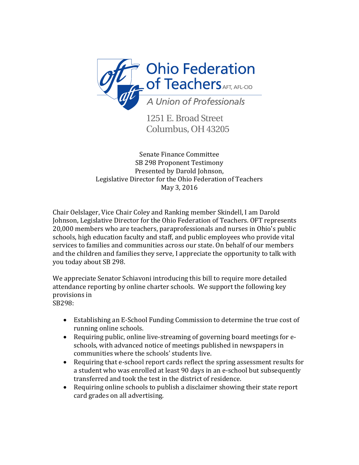

1251 E. Broad Street Columbus, OH 43205

Senate Finance Committee SB 298 Proponent Testimony Presented by Darold Johnson, Legislative Director for the Ohio Federation of Teachers May 3, 2016

Chair Oelslager, Vice Chair Coley and Ranking member Skindell, I am Darold Johnson, Legislative Director for the Ohio Federation of Teachers. OFT represents 20,000 members who are teachers, paraprofessionals and nurses in Ohio's public schools, high education faculty and staff, and public employees who provide vital services to families and communities across our state. On behalf of our members and the children and families they serve, I appreciate the opportunity to talk with you today about SB 298.

We appreciate Senator Schiavoni introducing this bill to require more detailed attendance reporting by online charter schools. We support the following key provisions in SB298:

 Establishing an E-School Funding Commission to determine the true cost of running online schools.

- Requiring public, online live-streaming of governing board meetings for eschools, with advanced notice of meetings published in newspapers in communities where the schools' students live.
- Requiring that e-school report cards reflect the spring assessment results for a student who was enrolled at least 90 days in an e-school but subsequently transferred and took the test in the district of residence.
- Requiring online schools to publish a disclaimer showing their state report card grades on all advertising.